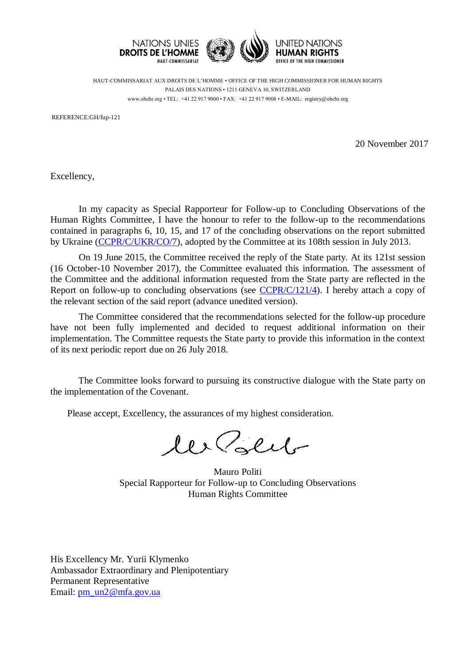

HAUT-COMMISSARIAT AUX DROITS DE L'HOMME • OFFICE OF THE HIGH COMMISSIONER FOR HUMAN RIGHTS PALAIS DES NATIONS • 1211 GENEVA 10, SWITZERLAND www.ohchr.org • TEL: +41 22 917 9000 • FAX: +41 22 917 9008 • E-MAIL: registry@ohchr.org

REFERENCE:GH/fup-121

20 November 2017

Excellency,

In my capacity as Special Rapporteur for Follow-up to Concluding Observations of the Human Rights Committee, I have the honour to refer to the follow-up to the recommendations contained in paragraphs 6, 10, 15, and 17 of the concluding observations on the report submitted by Ukraine [\(CCPR/C/UKR/CO/7\)](http://tbinternet.ohchr.org/_layouts/treatybodyexternal/Download.aspx?symbolno=CCPR%2fC%2fUKR%2fCO%2f7&Lang=en), adopted by the Committee at its 108th session in July 2013.

On 19 June 2015, the Committee received the reply of the State party. At its 121st session (16 October-10 November 2017), the Committee evaluated this information. The assessment of the Committee and the additional information requested from the State party are reflected in the Report on follow-up to concluding observations (see [CCPR/C/121/4\)](http://tbinternet.ohchr.org/Treaties/CCPR/Shared%20Documents/1_Global/CCPR_C_121_4_26620_E.pdf). I hereby attach a copy of the relevant section of the said report (advance unedited version).

The Committee considered that the recommendations selected for the follow-up procedure have not been fully implemented and decided to request additional information on their implementation. The Committee requests the State party to provide this information in the context of its next periodic report due on 26 July 2018.

The Committee looks forward to pursuing its constructive dialogue with the State party on the implementation of the Covenant.

Please accept, Excellency, the assurances of my highest consideration.

les Polit

Mauro Politi Special Rapporteur for Follow-up to Concluding Observations Human Rights Committee

His Excellency Mr. Yurii Klymenko Ambassador Extraordinary and Plenipotentiary Permanent Representative Email: [pm\\_un2@mfa.gov.ua](mailto:pm_un2@mfa.gov.ua)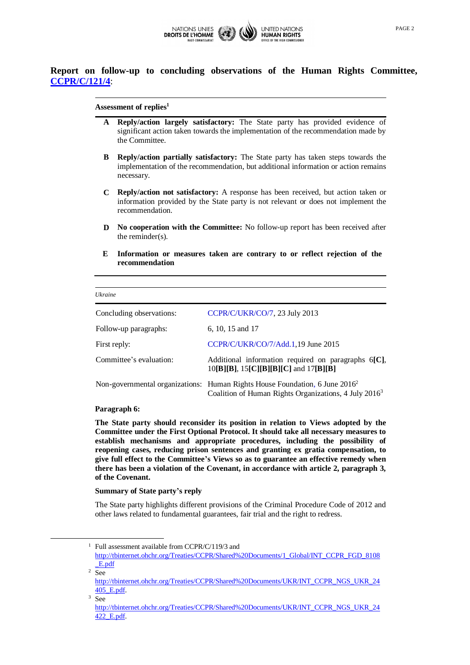

# **Report on follow-up to concluding observations of the Human Rights Committee, [CCPR/C/121/4](http://tbinternet.ohchr.org/Treaties/CCPR/Shared%20Documents/1_Global/CCPR_C_121_4_26620_E.pdf)**:

## **Assessment of replies<sup>1</sup>**

- **A Reply/action largely satisfactory:** The State party has provided evidence of significant action taken towards the implementation of the recommendation made by the Committee.
- **B Reply/action partially satisfactory:** The State party has taken steps towards the implementation of the recommendation, but additional information or action remains necessary.
- **C Reply/action not satisfactory:** A response has been received, but action taken or information provided by the State party is not relevant or does not implement the recommendation.
- **D No cooperation with the Committee:** No follow-up report has been received after the reminder(s).
- **E Information or measures taken are contrary to or reflect rejection of the recommendation**

| <i>Ukraine</i>           |                                                                                                                                                              |
|--------------------------|--------------------------------------------------------------------------------------------------------------------------------------------------------------|
|                          |                                                                                                                                                              |
| Concluding observations: | CCPR/C/UKR/CO/7, 23 July 2013                                                                                                                                |
| Follow-up paragraphs:    | 6, 10, 15 and 17                                                                                                                                             |
| First reply:             | CCPR/C/UKR/CO/7/Add.1,19 June 2015                                                                                                                           |
| Committee's evaluation:  | Additional information required on paragraphs $6[C]$ ,<br>$10[B][B], 15[C][B][B][C]$ and $17[B][B]$                                                          |
|                          | Non-governmental organizations: Human Rights House Foundation, 6 June 2016 <sup>2</sup><br>Coalition of Human Rights Organizations, 4 July 2016 <sup>3</sup> |

# **Paragraph 6:**

 $\overline{\phantom{a}}$ 

**The State party should reconsider its position in relation to Views adopted by the Committee under the First Optional Protocol. It should take all necessary measures to establish mechanisms and appropriate procedures, including the possibility of reopening cases, reducing prison sentences and granting ex gratia compensation, to give full effect to the Committee's Views so as to guarantee an effective remedy when there has been a violation of the Covenant, in accordance with article 2, paragraph 3, of the Covenant.**

### **Summary of State party's reply**

The State party highlights different provisions of the Criminal Procedure Code of 2012 and other laws related to fundamental guarantees, fair trial and the right to redress.

 $1$  Full assessment available from CCPR/C/119/3 and [http://tbinternet.ohchr.org/Treaties/CCPR/Shared%20Documents/1\\_Global/INT\\_CCPR\\_FGD\\_8108](http://tbinternet.ohchr.org/Treaties/CCPR/Shared%20Documents/1_Global/INT_CCPR_FGD_8108_E.pdf) [\\_E.pdf](http://tbinternet.ohchr.org/Treaties/CCPR/Shared%20Documents/1_Global/INT_CCPR_FGD_8108_E.pdf)  $2$  See

[http://tbinternet.ohchr.org/Treaties/CCPR/Shared%20Documents/UKR/INT\\_CCPR\\_NGS\\_UKR\\_24](http://tbinternet.ohchr.org/Treaties/CCPR/Shared%20Documents/UKR/INT_CCPR_NGS_UKR_24405_E.pdf) [405\\_E.pdf.](http://tbinternet.ohchr.org/Treaties/CCPR/Shared%20Documents/UKR/INT_CCPR_NGS_UKR_24405_E.pdf)  $3 Sep$ 

[http://tbinternet.ohchr.org/Treaties/CCPR/Shared%20Documents/UKR/INT\\_CCPR\\_NGS\\_UKR\\_24](http://tbinternet.ohchr.org/Treaties/CCPR/Shared%20Documents/UKR/INT_CCPR_NGS_UKR_24422_E.pdf) [422\\_E.pdf.](http://tbinternet.ohchr.org/Treaties/CCPR/Shared%20Documents/UKR/INT_CCPR_NGS_UKR_24422_E.pdf)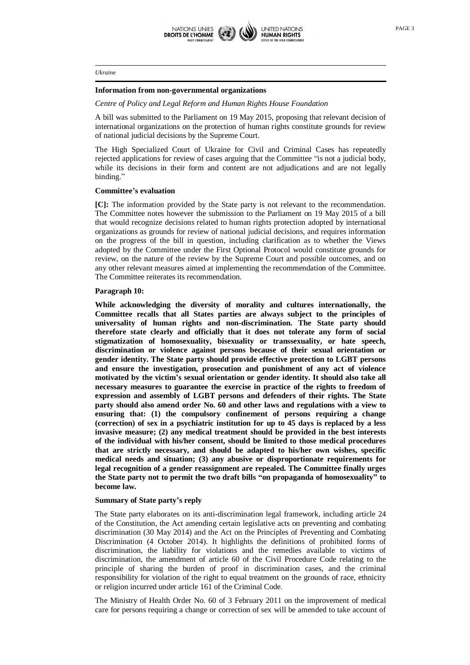

## **Information from non-governmental organizations**

*Centre of Policy and Legal Reform and Human Rights House Foundation*

A bill was submitted to the Parliament on 19 May 2015, proposing that relevant decision of international organizations on the protection of human rights constitute grounds for review of national judicial decisions by the Supreme Court.

The High Specialized Court of Ukraine for Civil and Criminal Cases has repeatedly rejected applications for review of cases arguing that the Committee "is not a judicial body, while its decisions in their form and content are not adjudications and are not legally binding."

# **Committee's evaluation**

**[C]:** The information provided by the State party is not relevant to the recommendation. The Committee notes however the submission to the Parliament on 19 May 2015 of a bill that would recognize decisions related to human rights protection adopted by international organizations as grounds for review of national judicial decisions, and requires information on the progress of the bill in question, including clarification as to whether the Views adopted by the Committee under the First Optional Protocol would constitute grounds for review, on the nature of the review by the Supreme Court and possible outcomes, and on any other relevant measures aimed at implementing the recommendation of the Committee. The Committee reiterates its recommendation.

# **Paragraph 10:**

**While acknowledging the diversity of morality and cultures internationally, the Committee recalls that all States parties are always subject to the principles of universality of human rights and non-discrimination. The State party should therefore state clearly and officially that it does not tolerate any form of social stigmatization of homosexuality, bisexuality or transsexuality, or hate speech, discrimination or violence against persons because of their sexual orientation or gender identity. The State party should provide effective protection to LGBT persons and ensure the investigation, prosecution and punishment of any act of violence motivated by the victim's sexual orientation or gender identity. It should also take all necessary measures to guarantee the exercise in practice of the rights to freedom of expression and assembly of LGBT persons and defenders of their rights. The State party should also amend order No. 60 and other laws and regulations with a view to ensuring that: (1) the compulsory confinement of persons requiring a change (correction) of sex in a psychiatric institution for up to 45 days is replaced by a less invasive measure; (2) any medical treatment should be provided in the best interests of the individual with his/her consent, should be limited to those medical procedures that are strictly necessary, and should be adapted to his/her own wishes, specific medical needs and situation; (3) any abusive or disproportionate requirements for legal recognition of a gender reassignment are repealed. The Committee finally urges the State party not to permit the two draft bills "on propaganda of homosexuality" to become law.** 

### **Summary of State party's reply**

The State party elaborates on its anti-discrimination legal framework, including article 24 of the Constitution, the Act amending certain legislative acts on preventing and combating discrimination (30 May 2014) and the Act on the Principles of Preventing and Combating Discrimination (4 October 2014). It highlights the definitions of prohibited forms of discrimination, the liability for violations and the remedies available to victims of discrimination, the amendment of article 60 of the Civil Procedure Code relating to the principle of sharing the burden of proof in discrimination cases, and the criminal responsibility for violation of the right to equal treatment on the grounds of race, ethnicity or religion incurred under article 161 of the Criminal Code.

The Ministry of Health Order No. 60 of 3 February 2011 on the improvement of medical care for persons requiring a change or correction of sex will be amended to take account of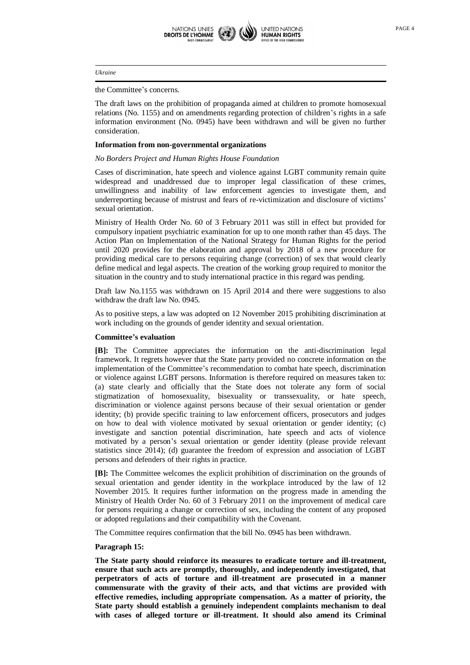

the Committee's concerns.

The draft laws on the prohibition of propaganda aimed at children to promote homosexual relations (No. 1155) and on amendments regarding protection of children's rights in a safe information environment (No. 0945) have been withdrawn and will be given no further consideration.

### **Information from non-governmental organizations**

### *No Borders Project and Human Rights House Foundation*

Cases of discrimination, hate speech and violence against LGBT community remain quite widespread and unaddressed due to improper legal classification of these crimes, unwillingness and inability of law enforcement agencies to investigate them, and underreporting because of mistrust and fears of re-victimization and disclosure of victims' sexual orientation.

Ministry of Health Order No. 60 of 3 February 2011 was still in effect but provided for compulsory inpatient psychiatric examination for up to one month rather than 45 days. The Action Plan on Implementation of the National Strategy for Human Rights for the period until 2020 provides for the elaboration and approval by 2018 of a new procedure for providing medical care to persons requiring change (correction) of sex that would clearly define medical and legal aspects. The creation of the working group required to monitor the situation in the country and to study international practice in this regard was pending.

Draft law No.1155 was withdrawn on 15 April 2014 and there were suggestions to also withdraw the draft law No. 0945.

As to positive steps, a law was adopted on 12 November 2015 prohibiting discrimination at work including on the grounds of gender identity and sexual orientation.

# **Committee's evaluation**

**[B]:** The Committee appreciates the information on the anti-discrimination legal framework. It regrets however that the State party provided no concrete information on the implementation of the Committee's recommendation to combat hate speech, discrimination or violence against LGBT persons. Information is therefore required on measures taken to: (a) state clearly and officially that the State does not tolerate any form of social stigmatization of homosexuality, bisexuality or transsexuality, or hate speech, discrimination or violence against persons because of their sexual orientation or gender identity; (b) provide specific training to law enforcement officers, prosecutors and judges on how to deal with violence motivated by sexual orientation or gender identity; (c) investigate and sanction potential discrimination, hate speech and acts of violence motivated by a person's sexual orientation or gender identity (please provide relevant statistics since 2014); (d) guarantee the freedom of expression and association of LGBT persons and defenders of their rights in practice.

**[B]:** The Committee welcomes the explicit prohibition of discrimination on the grounds of sexual orientation and gender identity in the workplace introduced by the law of 12 November 2015. It requires further information on the progress made in amending the Ministry of Health Order No. 60 of 3 February 2011 on the improvement of medical care for persons requiring a change or correction of sex, including the content of any proposed or adopted regulations and their compatibility with the Covenant.

The Committee requires confirmation that the bill No. 0945 has been withdrawn.

### **Paragraph 15:**

**The State party should reinforce its measures to eradicate torture and ill-treatment, ensure that such acts are promptly, thoroughly, and independently investigated, that perpetrators of acts of torture and ill-treatment are prosecuted in a manner commensurate with the gravity of their acts, and that victims are provided with effective remedies, including appropriate compensation. As a matter of priority, the State party should establish a genuinely independent complaints mechanism to deal with cases of alleged torture or ill-treatment. It should also amend its Criminal**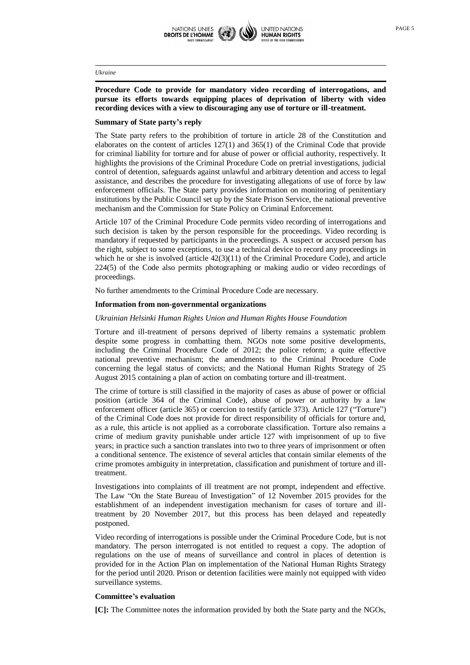

# **Procedure Code to provide for mandatory video recording of interrogations, and pursue its efforts towards equipping places of deprivation of liberty with video recording devices with a view to discouraging any use of torture or ill-treatment.**

### **Summary of State party's reply**

The State party refers to the prohibition of torture in article 28 of the Constitution and elaborates on the content of articles  $127(1)$  and  $365(1)$  of the Criminal Code that provide for criminal liability for torture and for abuse of power or official authority, respectively. It highlights the provisions of the Criminal Procedure Code on pretrial investigations, judicial control of detention, safeguards against unlawful and arbitrary detention and access to legal assistance, and describes the procedure for investigating allegations of use of force by law enforcement officials. The State party provides information on monitoring of penitentiary institutions by the Public Council set up by the State Prison Service, the national preventive mechanism and the Commission for State Policy on Criminal Enforcement.

Article 107 of the Criminal Procedure Code permits video recording of interrogations and such decision is taken by the person responsible for the proceedings. Video recording is mandatory if requested by participants in the proceedings. A suspect or accused person has the right, subject to some exceptions, to use a technical device to record any proceedings in which he or she is involved (article  $42(3)(11)$  of the Criminal Procedure Code), and article 224(5) of the Code also permits photographing or making audio or video recordings of proceedings.

No further amendments to the Criminal Procedure Code are necessary.

### **Information from non-governmental organizations**

### *Ukrainian Helsinki Human Rights Union and Human Rights House Foundation*

Torture and ill-treatment of persons deprived of liberty remains a systematic problem despite some progress in combatting them. NGOs note some positive developments, including the Criminal Procedure Code of 2012; the police reform; a quite effective national preventive mechanism; the amendments to the Criminal Procedure Code concerning the legal status of convicts; and the National Human Rights Strategy of 25 August 2015 containing a plan of action on combating torture and ill-treatment.

The crime of torture is still classified in the majority of cases as abuse of power or official position (article 364 of the Criminal Code), abuse of power or authority by a law enforcement officer (article 365) or coercion to testify (article 373). Article 127 ("Torture") of the Criminal Code does not provide for direct responsibility of officials for torture and, as a rule, this article is not applied as a corroborate classification. Torture also remains a crime of medium gravity punishable under article 127 with imprisonment of up to five years; in practice such a sanction translates into two to three years of imprisonment or often a conditional sentence. The existence of several articles that contain similar elements of the crime promotes ambiguity in interpretation, classification and punishment of torture and illtreatment.

Investigations into complaints of ill treatment are not prompt, independent and effective. The Law "On the State Bureau of Investigation" of 12 November 2015 provides for the establishment of an independent investigation mechanism for cases of torture and illtreatment by 20 November 2017, but this process has been delayed and repeatedly postponed.

Video recording of interrogations is possible under the Criminal Procedure Code, but is not mandatory. The person interrogated is not entitled to request a copy. The adoption of regulations on the use of means of surveillance and control in places of detention is provided for in the Action Plan on implementation of the National Human Rights Strategy for the period until 2020. Prison or detention facilities were mainly not equipped with video surveillance systems.

### **Committee's evaluation**

**[C]:** The Committee notes the information provided by both the State party and the NGOs,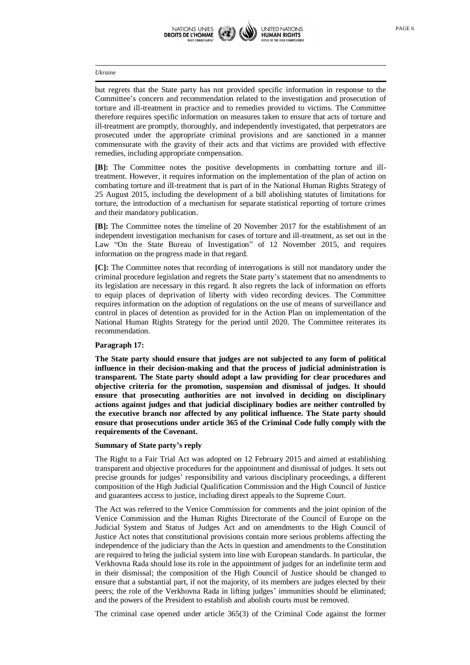

but regrets that the State party has not provided specific information in response to the Committee's concern and recommendation related to the investigation and prosecution of torture and ill-treatment in practice and to remedies provided to victims. The Committee therefore requires specific information on measures taken to ensure that acts of torture and ill-treatment are promptly, thoroughly, and independently investigated, that perpetrators are prosecuted under the appropriate criminal provisions and are sanctioned in a manner commensurate with the gravity of their acts and that victims are provided with effective remedies, including appropriate compensation.

**[B]:** The Committee notes the positive developments in combatting torture and illtreatment. However, it requires information on the implementation of the plan of action on combating torture and ill-treatment that is part of in the National Human Rights Strategy of 25 August 2015, including the development of a bill abolishing statutes of limitations for torture, the introduction of a mechanism for separate statistical reporting of torture crimes and their mandatory publication.

**[B]:** The Committee notes the timeline of 20 November 2017 for the establishment of an independent investigation mechanism for cases of torture and ill-treatment, as set out in the Law "On the State Bureau of Investigation" of 12 November 2015, and requires information on the progress made in that regard.

**[C]:** The Committee notes that recording of interrogations is still not mandatory under the criminal procedure legislation and regrets the State party's statement that no amendments to its legislation are necessary in this regard. It also regrets the lack of information on efforts to equip places of deprivation of liberty with video recording devices. The Committee requires information on the adoption of regulations on the use of means of surveillance and control in places of detention as provided for in the Action Plan on implementation of the National Human Rights Strategy for the period until 2020. The Committee reiterates its recommendation.

# **Paragraph 17:**

**The State party should ensure that judges are not subjected to any form of political influence in their decision-making and that the process of judicial administration is transparent. The State party should adopt a law providing for clear procedures and objective criteria for the promotion, suspension and dismissal of judges. It should ensure that prosecuting authorities are not involved in deciding on disciplinary actions against judges and that judicial disciplinary bodies are neither controlled by the executive branch nor affected by any political influence. The State party should ensure that prosecutions under article 365 of the Criminal Code fully comply with the requirements of the Covenant.**

## **Summary of State party's reply**

The Right to a Fair Trial Act was adopted on 12 February 2015 and aimed at establishing transparent and objective procedures for the appointment and dismissal of judges. It sets out precise grounds for judges' responsibility and various disciplinary proceedings, a different composition of the High Judicial Qualification Commission and the High Council of Justice and guarantees access to justice, including direct appeals to the Supreme Court.

The Act was referred to the Venice Commission for comments and the joint opinion of the Venice Commission and the Human Rights Directorate of the Council of Europe on the Judicial System and Status of Judges Act and on amendments to the High Council of Justice Act notes that constitutional provisions contain more serious problems affecting the independence of the judiciary than the Acts in question and amendments to the Constitution are required to bring the judicial system into line with European standards. In particular, the Verkhovna Rada should lose its role in the appointment of judges for an indefinite term and in their dismissal; the composition of the High Council of Justice should be changed to ensure that a substantial part, if not the majority, of its members are judges elected by their peers; the role of the Verkhovna Rada in lifting judges' immunities should be eliminated; and the powers of the President to establish and abolish courts must be removed.

The criminal case opened under article 365(3) of the Criminal Code against the former